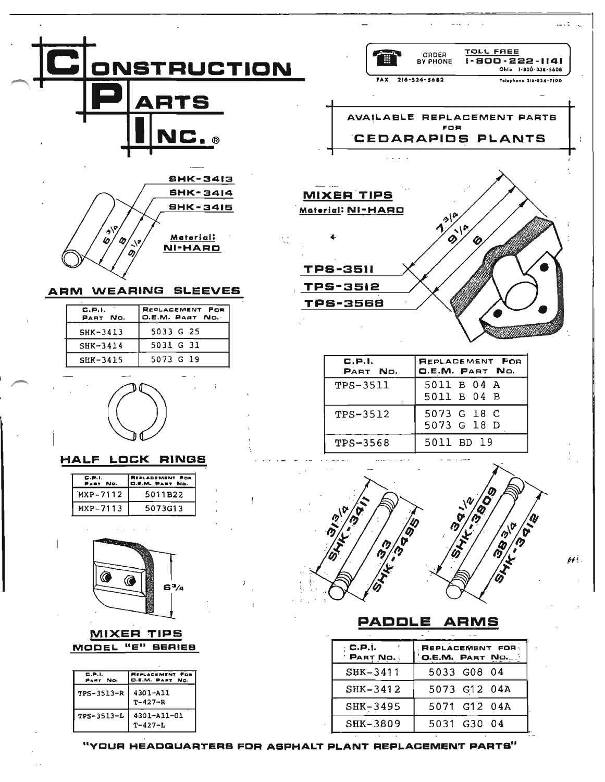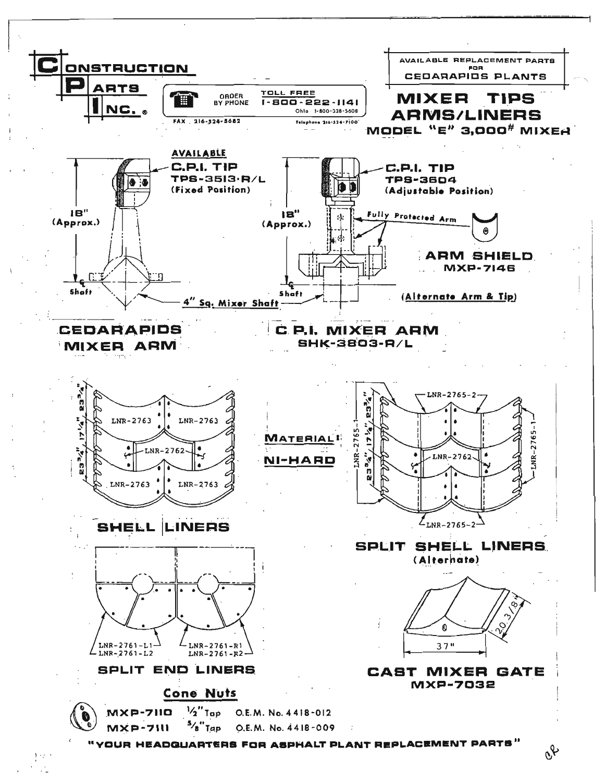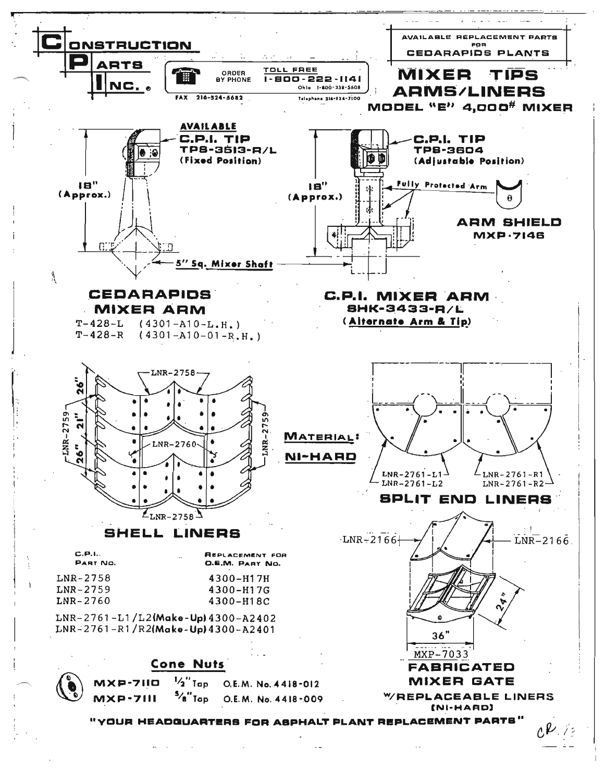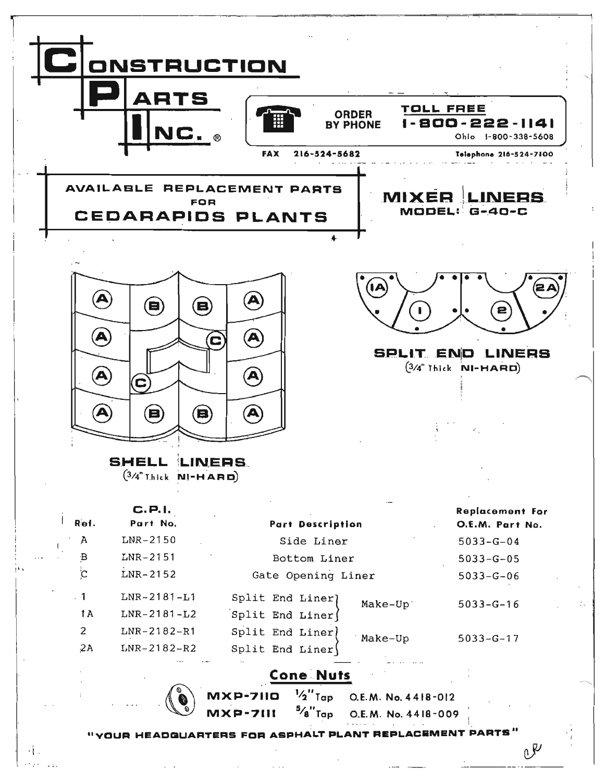

 $\cdot \}$ .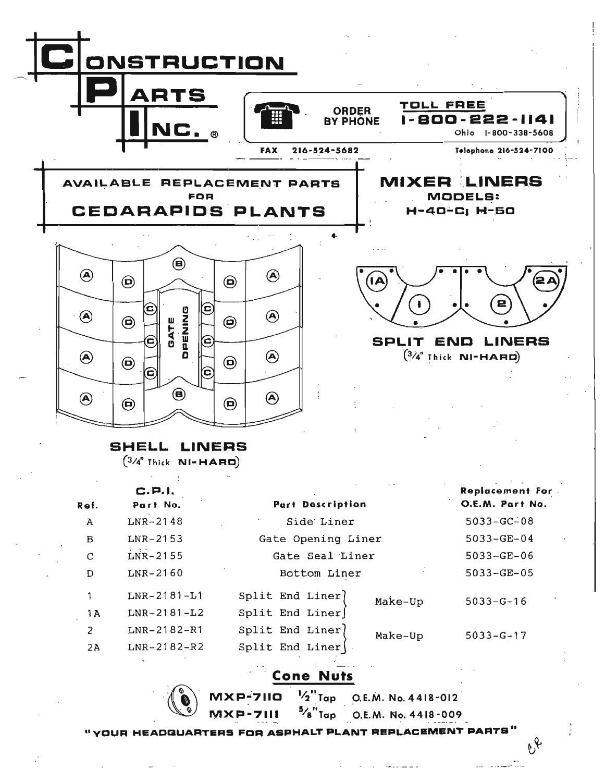

## SHELL LINERS

 $(3/4$ " Thick  $NI-HAHD)$ 

ill

 $\mathbb{C}$   $\mathbb{C}$ 

|             | C.P.1.            |                                           | <b>Replacement For.</b> |
|-------------|-------------------|-------------------------------------------|-------------------------|
| Ref.        | Part No.          | <b>Part Description</b>                   | O.E.M. Part No.         |
| A           | $LNR-2148$        | Side Liner                                | $5033 - GC - 08$        |
| $\mathbf B$ | $LNR-2153$        | Gate Opening Liner                        | $5033 - GE - 04$        |
| C           | $LNR - 2155$      | Gate Seal Liner                           | $5033 - GE - 06$        |
| D           | $LNR - 2160$      | Bottom Liner                              | $5033 - GE - 05$        |
| 1           | $LNR-2181-L1$     | Split End Liner)<br>Make-Up               | $5033 - G - 16$         |
| 1A          | $LNR - 2181 - L2$ | $Split$ End Liner                         |                         |
| 2           | $LNR-2182-R1$     | Split End Liner<br>Make-Up                | $5033 - G - 17$         |
| 2A          | $LNR - 2182 - R2$ | $Split$ End Liner $\langle \cdot \rangle$ |                         |

Cone Nuts

 $MXP-711Q$   $^{1}/_{2}$  Tap O.E.M. No. 4418-012 **MXP-7111** <sup>5</sup>/8"Tap O.E.M. No. 4418-009

. " -- \_ .. \_- " .. -

 $\mathfrak{G}$ 

"YOUR HEADQUARTERS FOR ASPHALT PLANT REPLACEMENT PARTS'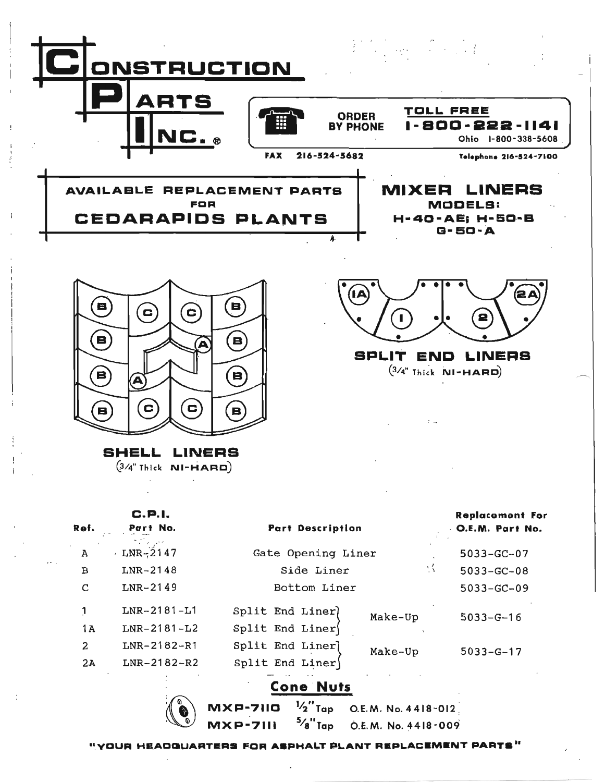



Ί

SPLIT ENO LINERS  $(3/4"$  Thick **NI-HARD**)

SHELL LINERS  $(3/4$ " Thick **NI-HARD**)

| Ref.           | C.P.I.<br>Part No. | <b>Part Description</b> |         | <b>Replacement For</b><br><b>O.E.M. Part No.</b> |
|----------------|--------------------|-------------------------|---------|--------------------------------------------------|
| $\overline{A}$ | $-LNR-2147$        | Gate Opening Liner      |         | $5033 - GC - 07$                                 |
| $\mathbf B$    | $LNR-2148$         | M.<br>Side Liner        |         | $5033 - GC - 08$                                 |
| C              | $LNR-2149$         | Bottom Liner            |         | $5033 - GC - 09$                                 |
| 1              | $LNR-2181-I1$      | Split End Liner)        | Make-Up | $5033 - G - 16$                                  |
| 1 A            | $LNR-2181-L2$      | Split End Liner         |         |                                                  |
| 2              | $LNR-2182-R1$      | Split End Liner]        | Make-Up | $5033 - G - 17$                                  |
| 2A             | $LNR-2182-R2$      | $Split$ End Liner       |         |                                                  |
|                |                    | <b>Cone Nuts</b>        |         |                                                  |

"YOUR HEADQUARTERS FOR ASPHALT PLANT REPLACEMENT PARTS"

 $\overline{a}$ "<sub>Tap</sub>

 $2''$  Tap O.E.M. No. 4418-012

O.E.M. No. 4418-009

MXP-7110 MXP-7111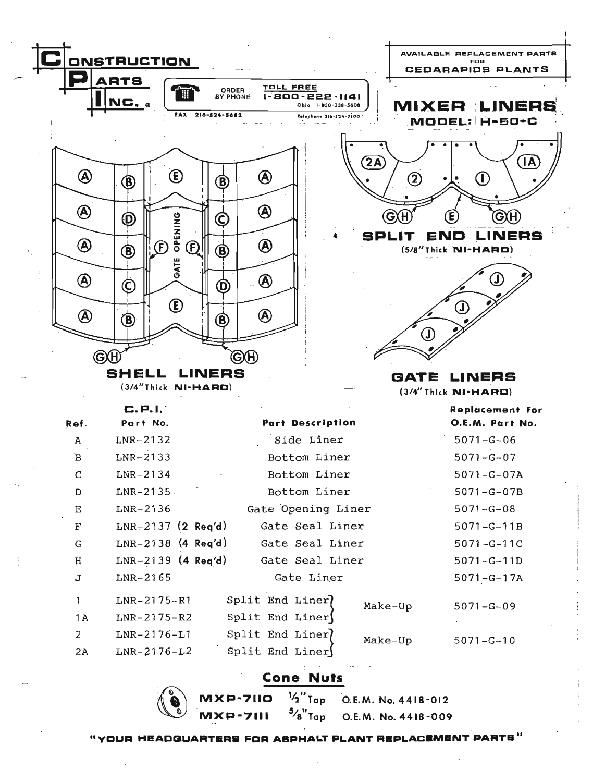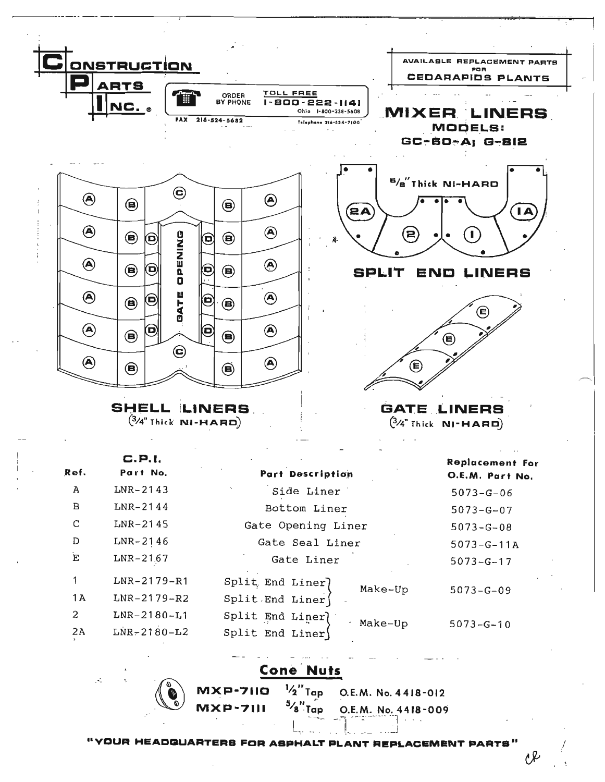

**Cone Nuts** 

|                 | $MXP-711Q$ $V_2T_{qp}$ O.E.M. No. 4418-012                                                                                                                                                                                     |
|-----------------|--------------------------------------------------------------------------------------------------------------------------------------------------------------------------------------------------------------------------------|
| <b>MXP-7111</b> | $5/8$ Tap O.E.M. No. 4418-009                                                                                                                                                                                                  |
|                 | in the subspace of the state of the state of the state of the state of the state of the state of the state of the state of the state of the state of the state of the state of the state of the state of the state of the stat |

"YOUR HEADGUARTERS FOR ASPHALT PLANT REPLACEMENT PARTS"

1l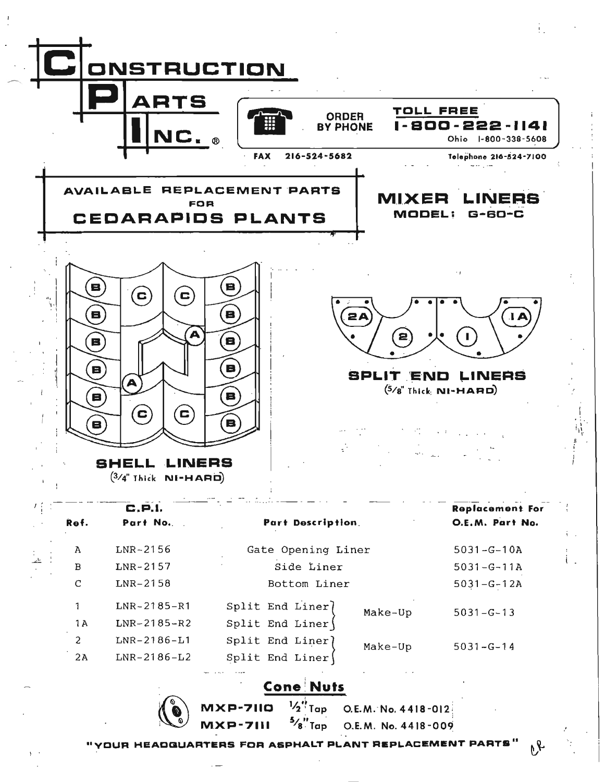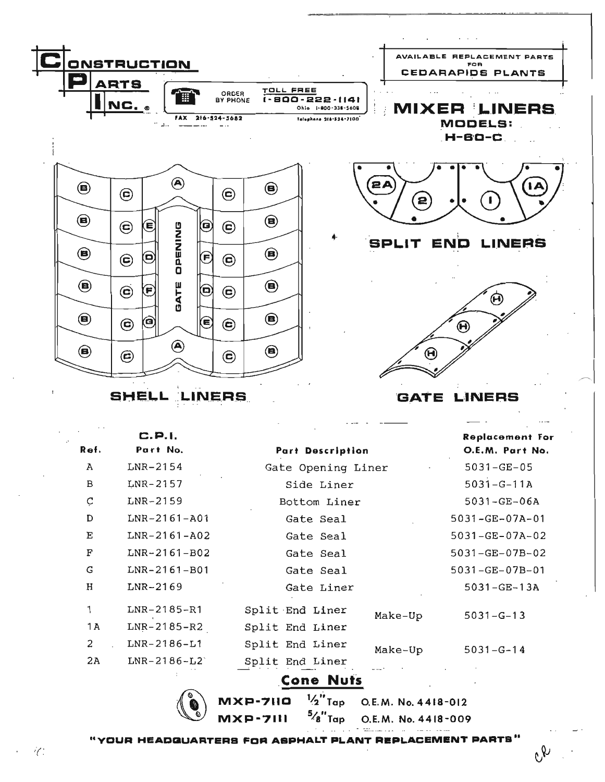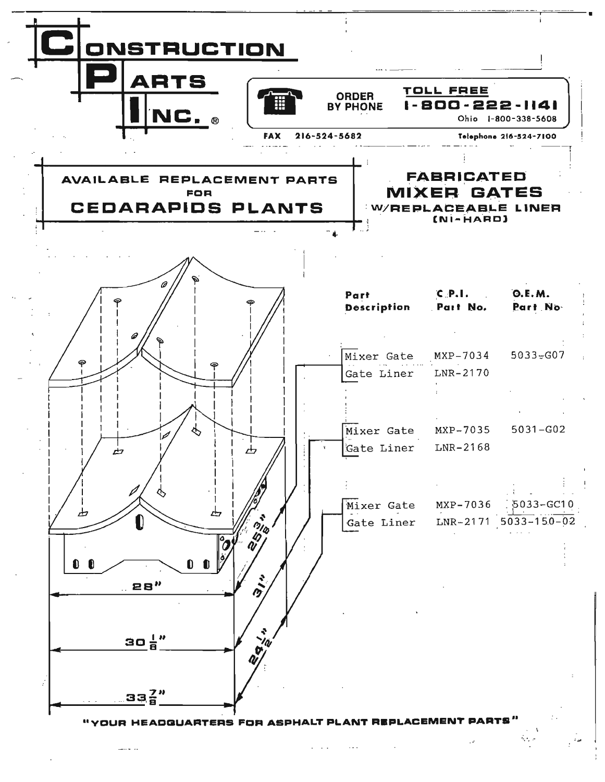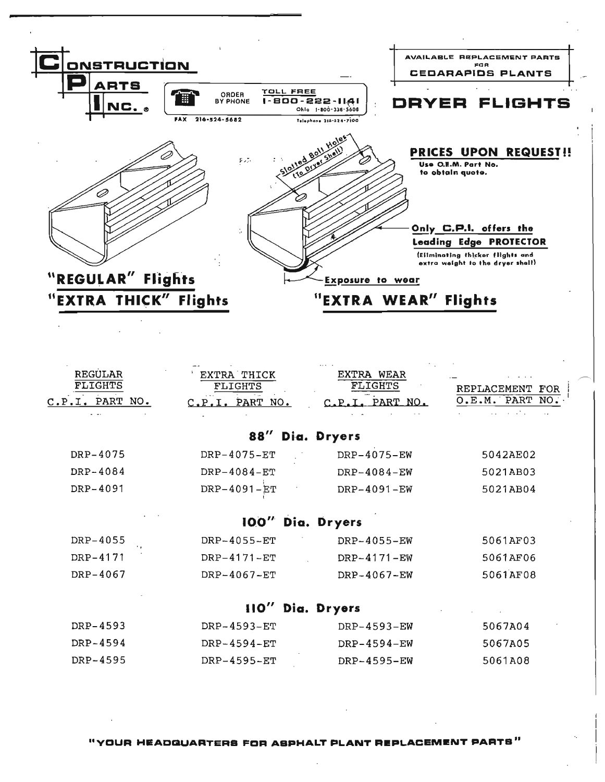

"YOUR HEADQUARTERS FOR ASPHALT PLANT REPLACEMENT PARTS"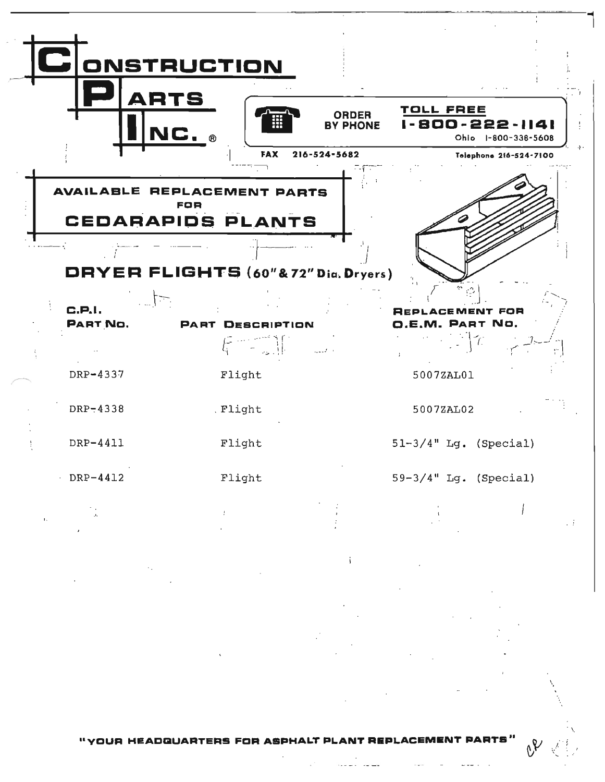

"YOUR HEADQUARTERS FOR ASPHALT PLANT REPLACEM